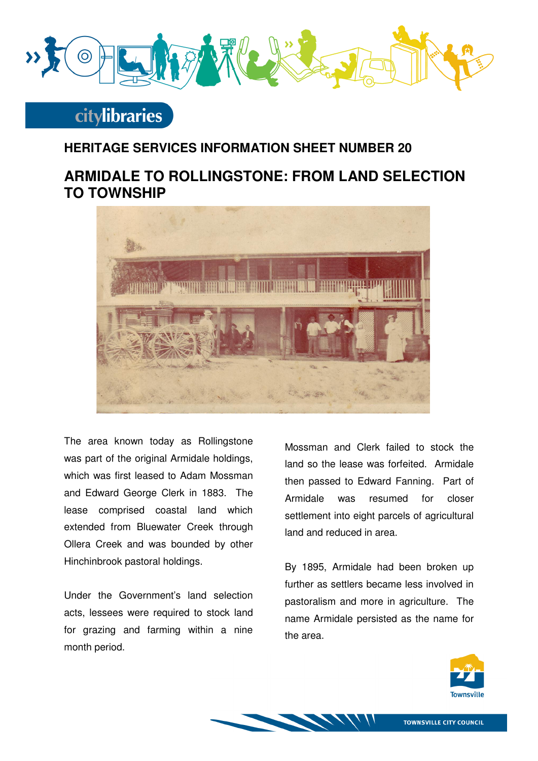

# **citylibraries**

#### **HERITAGE SERVICES INFORMATION SHEET NUMBER 20**

### **ARMIDALE TO ROLLINGSTONE: FROM LAND SELECTION TO TOWNSHIP**



The area known today as Rollingstone was part of the original Armidale holdings, which was first leased to Adam Mossman and Edward George Clerk in 1883. The lease comprised coastal land which extended from Bluewater Creek through Ollera Creek and was bounded by other Hinchinbrook pastoral holdings.

Under the Government's land selection acts, lessees were required to stock land for grazing and farming within a nine month period.

Mossman and Clerk failed to stock the land so the lease was forfeited. Armidale then passed to Edward Fanning. Part of Armidale was resumed for closer settlement into eight parcels of agricultural land and reduced in area.

By 1895, Armidale had been broken up further as settlers became less involved in pastoralism and more in agriculture. The name Armidale persisted as the name for the area.